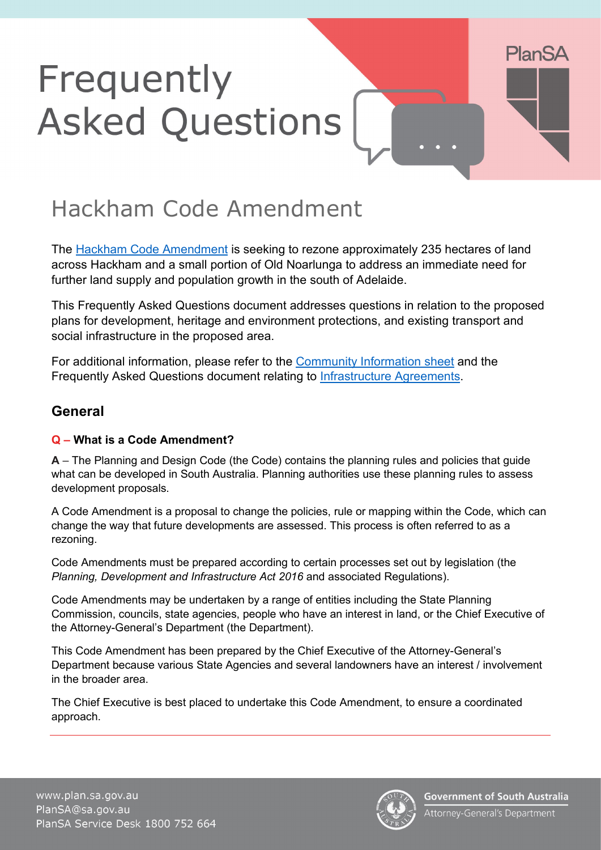# Frequently **Asked Questions**

# Hackham Code Amendment

The [Hackham Code Amendment](https://plan.sa.gov.au/have_your_say/code_amendments#Hackham_Code_Amendment) is seeking to rezone approximately 235 hectares of land across Hackham and a small portion of Old Noarlunga to address an immediate need for further land supply and population growth in the south of Adelaide.

This Frequently Asked Questions document addresses questions in relation to the proposed plans for development, heritage and environment protections, and existing transport and social infrastructure in the proposed area.

For additional information, please refer to the [Community Information sheet](https://www.plan.sa.gov.au/__data/assets/pdf_file/0003/1048521/Hackham_Code_Amendment_-_Community_information_brochure.pdf) and the Frequently Asked Questions document relating to [Infrastructure Agreements.](https://www.plan.sa.gov.au/__data/assets/pdf_file/0004/983848/Hackham_Code_Amendment_-_Infrastructure_agreements_-_faq.pdf)

# **General**

#### **Q – What is a Code Amendment?**

**A** – The Planning and Design Code (the Code) contains the planning rules and policies that guide what can be developed in South Australia. Planning authorities use these planning rules to assess development proposals.

A Code Amendment is a proposal to change the policies, rule or mapping within the Code, which can change the way that future developments are assessed. This process is often referred to as a rezoning.

Code Amendments must be prepared according to certain processes set out by legislation (the *Planning, Development and Infrastructure Act 2016* and associated Regulations).

Code Amendments may be undertaken by a range of entities including the State Planning Commission, councils, state agencies, people who have an interest in land, or the Chief Executive of the Attorney-General's Department (the Department).

This Code Amendment has been prepared by the Chief Executive of the Attorney-General's Department because various State Agencies and several landowners have an interest / involvement in the broader area.

The Chief Executive is best placed to undertake this Code Amendment, to ensure a coordinated approach.



**PlanSA**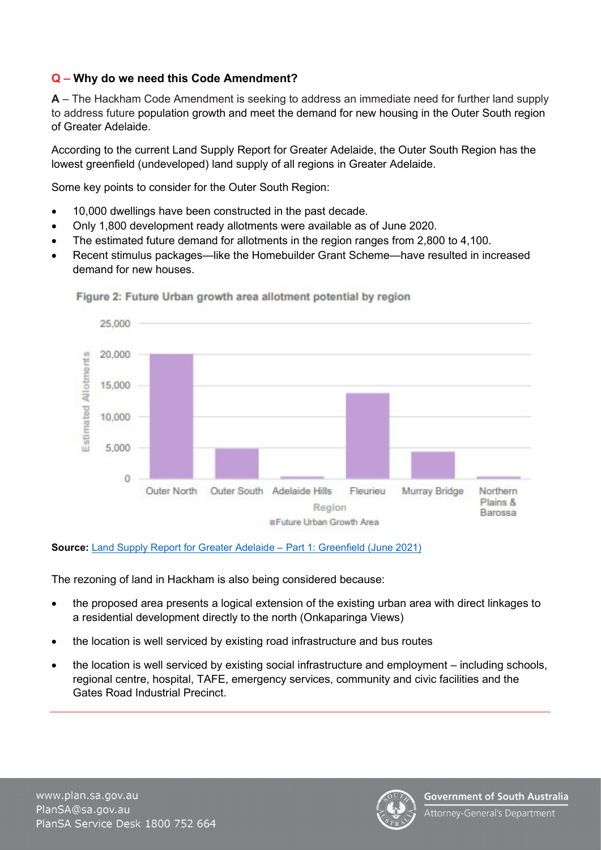#### **Q – Why do we need this Code Amendment?**

**A** – The Hackham Code Amendment is seeking to address an immediate need for further land supply to address future population growth and meet the demand for new housing in the Outer South region of Greater Adelaide.

According to the current Land Supply Report for Greater Adelaide, the Outer South Region has the lowest greenfield (undeveloped) land supply of all regions in Greater Adelaide.

Some key points to consider for the Outer South Region:

- 10,000 dwellings have been constructed in the past decade.
- Only 1,800 development ready allotments were available as of June 2020.
- The estimated future demand for allotments in the region ranges from 2,800 to 4,100.
- Recent stimulus packages—like the Homebuilder Grant Scheme—have resulted in increased demand for new houses.



#### Figure 2: Future Urban growth area allotment potential by region

#### **Source:** [Land Supply Report for Greater Adelaide – Part 1: Greenfield \(June 2021\)](https://plan.sa.gov.au/__data/assets/pdf_file/0005/830984/Land_Supply_Report_for_Greater_Adelaide_-_Greenfield.pdf)

The rezoning of land in Hackham is also being considered because:

- the proposed area presents a logical extension of the existing urban area with direct linkages to a residential development directly to the north (Onkaparinga Views)
- the location is well serviced by existing road infrastructure and bus routes
- the location is well serviced by existing social infrastructure and employment including schools, regional centre, hospital, TAFE, emergency services, community and civic facilities and the Gates Road Industrial Precinct.

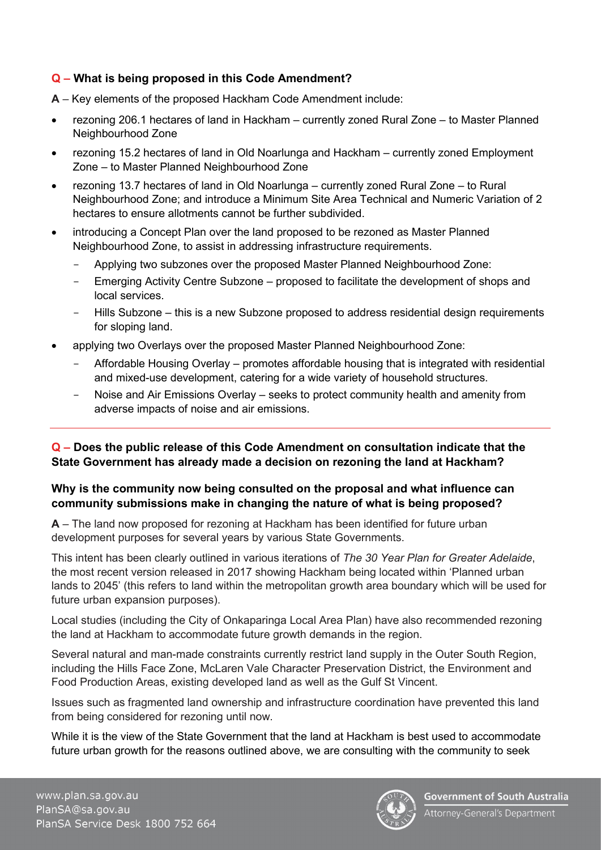#### **Q – What is being proposed in this Code Amendment?**

- **A**  Key elements of the proposed Hackham Code Amendment include:
- rezoning 206.1 hectares of land in Hackham currently zoned Rural Zone to Master Planned Neighbourhood Zone
- rezoning 15.2 hectares of land in Old Noarlunga and Hackham currently zoned Employment Zone – to Master Planned Neighbourhood Zone
- rezoning 13.7 hectares of land in Old Noarlunga currently zoned Rural Zone to Rural Neighbourhood Zone; and introduce a Minimum Site Area Technical and Numeric Variation of 2 hectares to ensure allotments cannot be further subdivided.
- introducing a Concept Plan over the land proposed to be rezoned as Master Planned Neighbourhood Zone, to assist in addressing infrastructure requirements.
	- Applying two subzones over the proposed Master Planned Neighbourhood Zone:
	- Emerging Activity Centre Subzone proposed to facilitate the development of shops and local services.
	- Hills Subzone this is a new Subzone proposed to address residential design requirements for sloping land.
- applying two Overlays over the proposed Master Planned Neighbourhood Zone:
	- Affordable Housing Overlay promotes affordable housing that is integrated with residential and mixed-use development, catering for a wide variety of household structures.
	- Noise and Air Emissions Overlay seeks to protect community health and amenity from adverse impacts of noise and air emissions.

#### **Q – Does the public release of this Code Amendment on consultation indicate that the State Government has already made a decision on rezoning the land at Hackham?**

#### **Why is the community now being consulted on the proposal and what influence can community submissions make in changing the nature of what is being proposed?**

**A** – The land now proposed for rezoning at Hackham has been identified for future urban development purposes for several years by various State Governments.

This intent has been clearly outlined in various iterations of *The 30 Year Plan for Greater Adelaide*, the most recent version released in 2017 showing Hackham being located within 'Planned urban lands to 2045' (this refers to land within the metropolitan growth area boundary which will be used for future urban expansion purposes).

Local studies (including the City of Onkaparinga Local Area Plan) have also recommended rezoning the land at Hackham to accommodate future growth demands in the region.

Several natural and man-made constraints currently restrict land supply in the Outer South Region, including the Hills Face Zone, McLaren Vale Character Preservation District, the Environment and Food Production Areas, existing developed land as well as the Gulf St Vincent.

Issues such as fragmented land ownership and infrastructure coordination have prevented this land from being considered for rezoning until now.

While it is the view of the State Government that the land at Hackham is best used to accommodate future urban growth for the reasons outlined above, we are consulting with the community to seek

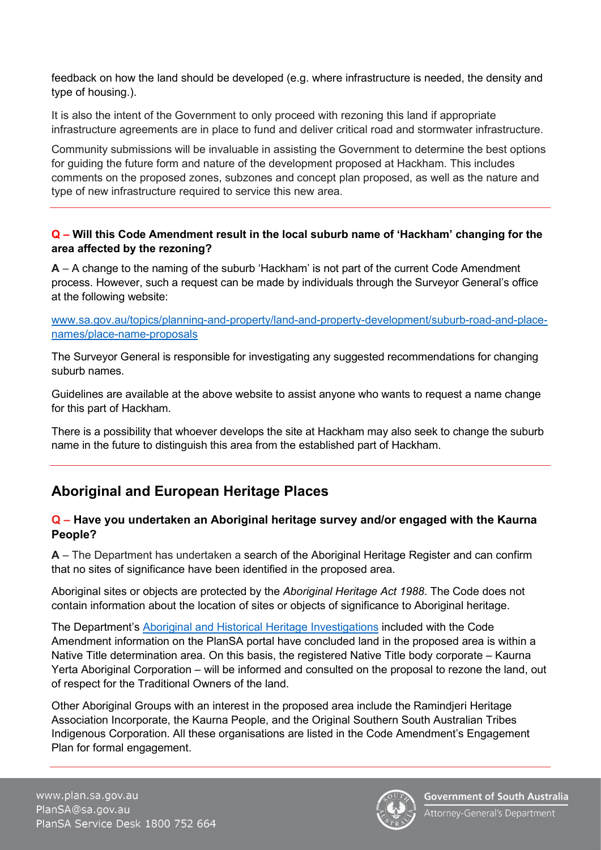feedback on how the land should be developed (e.g. where infrastructure is needed, the density and type of housing.).

It is also the intent of the Government to only proceed with rezoning this land if appropriate infrastructure agreements are in place to fund and deliver critical road and stormwater infrastructure.

Community submissions will be invaluable in assisting the Government to determine the best options for guiding the future form and nature of the development proposed at Hackham. This includes comments on the proposed zones, subzones and concept plan proposed, as well as the nature and type of new infrastructure required to service this new area.

#### **Q – Will this Code Amendment result in the local suburb name of 'Hackham' changing for the area affected by the rezoning?**

**A** – A change to the naming of the suburb 'Hackham' is not part of the current Code Amendment process. However, such a request can be made by individuals through the Surveyor General's office at the following website:

[www.sa.gov.au/topics/planning-and-property/land-and-property-development/suburb-road-and-place](http://www.sa.gov.au/topics/planning-and-property/land-and-property-development/suburb-road-and-place-names/place-name-proposals)[names/place-name-proposals](http://www.sa.gov.au/topics/planning-and-property/land-and-property-development/suburb-road-and-place-names/place-name-proposals)

The Surveyor General is responsible for investigating any suggested recommendations for changing suburb names.

Guidelines are available at the above website to assist anyone who wants to request a name change for this part of Hackham.

There is a possibility that whoever develops the site at Hackham may also seek to change the suburb name in the future to distinguish this area from the established part of Hackham.

# **Aboriginal and European Heritage Places**

#### **Q – Have you undertaken an Aboriginal heritage survey and/or engaged with the Kaurna People?**

**A** – The Department has undertaken a search of the Aboriginal Heritage Register and can confirm that no sites of significance have been identified in the proposed area.

Aboriginal sites or objects are protected by the *Aboriginal Heritage Act 1988*. The Code does not contain information about the location of sites or objects of significance to Aboriginal heritage.

The Department's [Aboriginal and Historical Heritage Investigations](https://plan.sa.gov.au/__data/assets/pdf_file/0010/1043992/Hackham_CA_-_Code_Amendment_Attachment_E_-_5_Aboriginal_and_Historical_Heritage_Report.PDF) included with the Code Amendment information on the PlanSA portal have concluded land in the proposed area is within a Native Title determination area. On this basis, the registered Native Title body corporate – Kaurna Yerta Aboriginal Corporation – will be informed and consulted on the proposal to rezone the land, out of respect for the Traditional Owners of the land.

Other Aboriginal Groups with an interest in the proposed area include the Ramindjeri Heritage Association Incorporate, the Kaurna People, and the Original Southern South Australian Tribes Indigenous Corporation. All these organisations are listed in the Code Amendment's Engagement Plan for formal engagement.

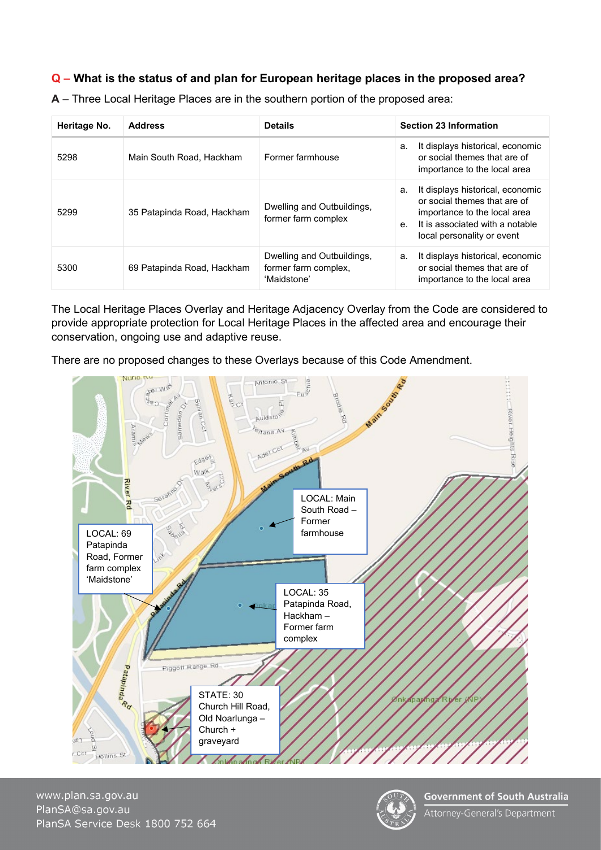#### **Q – What is the status of and plan for European heritage places in the proposed area?**

| Heritage No. | <b>Address</b>             | <b>Details</b>                                                    | <b>Section 23 Information</b>                                                                                                                                                             |
|--------------|----------------------------|-------------------------------------------------------------------|-------------------------------------------------------------------------------------------------------------------------------------------------------------------------------------------|
| 5298         | Main South Road, Hackham   | Former farmhouse                                                  | It displays historical, economic<br>a.<br>or social themes that are of<br>importance to the local area                                                                                    |
| 5299         | 35 Patapinda Road, Hackham | Dwelling and Outbuildings,<br>former farm complex                 | It displays historical, economic<br>a.<br>or social themes that are of<br>importance to the local area<br>It is associated with a notable<br>e <sub>1</sub><br>local personality or event |
| 5300         | 69 Patapinda Road, Hackham | Dwelling and Outbuildings,<br>former farm complex,<br>'Maidstone' | It displays historical, economic<br>a.<br>or social themes that are of<br>importance to the local area                                                                                    |

**A** – Three Local Heritage Places are in the southern portion of the proposed area:

The Local Heritage Places Overlay and Heritage Adjacency Overlay from the Code are considered to provide appropriate protection for Local Heritage Places in the affected area and encourage their conservation, ongoing use and adaptive reuse.

There are no proposed changes to these Overlays because of this Code Amendment.



www.plan.sa.gov.au PlanSA@sa.gov.au PlanSA Service Desk 1800 752 664

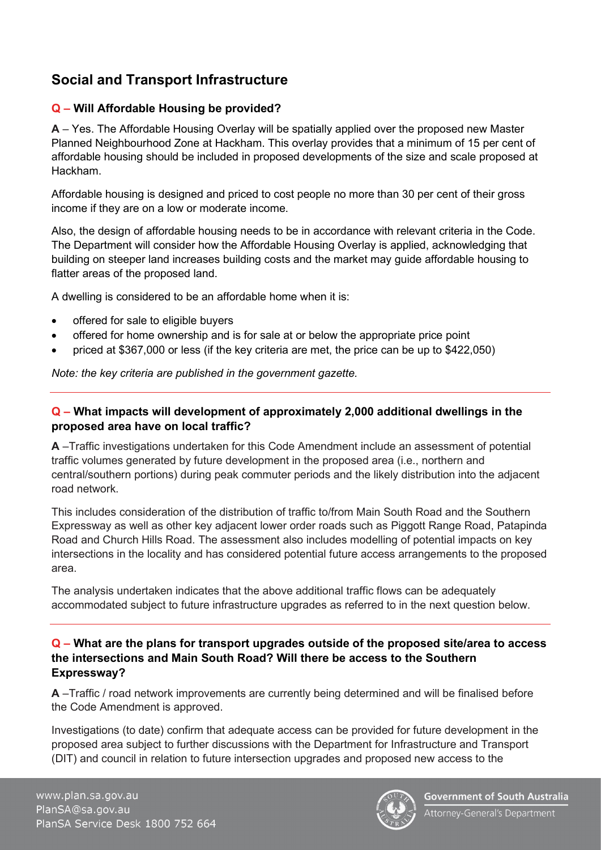# **Social and Transport Infrastructure**

#### **Q – Will Affordable Housing be provided?**

**A** – Yes. The Affordable Housing Overlay will be spatially applied over the proposed new Master Planned Neighbourhood Zone at Hackham. This overlay provides that a minimum of 15 per cent of affordable housing should be included in proposed developments of the size and scale proposed at Hackham.

Affordable housing is designed and priced to cost people no more than 30 per cent of their gross income if they are on a low or moderate income.

Also, the design of affordable housing needs to be in accordance with relevant criteria in the Code. The Department will consider how the Affordable Housing Overlay is applied, acknowledging that building on steeper land increases building costs and the market may guide affordable housing to flatter areas of the proposed land.

A dwelling is considered to be an affordable home when it is:

- offered for sale to eligible buyers
- offered for home ownership and is for sale at or below the appropriate price point
- priced at \$367,000 or less (if the key criteria are met, the price can be up to \$422,050)

*Note: the key criteria are published in the government gazette.* 

#### **Q – What impacts will development of approximately 2,000 additional dwellings in the proposed area have on local traffic?**

**A** –Traffic investigations undertaken for this Code Amendment include an assessment of potential traffic volumes generated by future development in the proposed area (i.e., northern and central/southern portions) during peak commuter periods and the likely distribution into the adjacent road network.

This includes consideration of the distribution of traffic to/from Main South Road and the Southern Expressway as well as other key adjacent lower order roads such as Piggott Range Road, Patapinda Road and Church Hills Road. The assessment also includes modelling of potential impacts on key intersections in the locality and has considered potential future access arrangements to the proposed area.

The analysis undertaken indicates that the above additional traffic flows can be adequately accommodated subject to future infrastructure upgrades as referred to in the next question below.

#### **Q – What are the plans for transport upgrades outside of the proposed site/area to access the intersections and Main South Road? Will there be access to the Southern Expressway?**

**A** –Traffic / road network improvements are currently being determined and will be finalised before the Code Amendment is approved.

Investigations (to date) confirm that adequate access can be provided for future development in the proposed area subject to further discussions with the Department for Infrastructure and Transport (DIT) and council in relation to future intersection upgrades and proposed new access to the

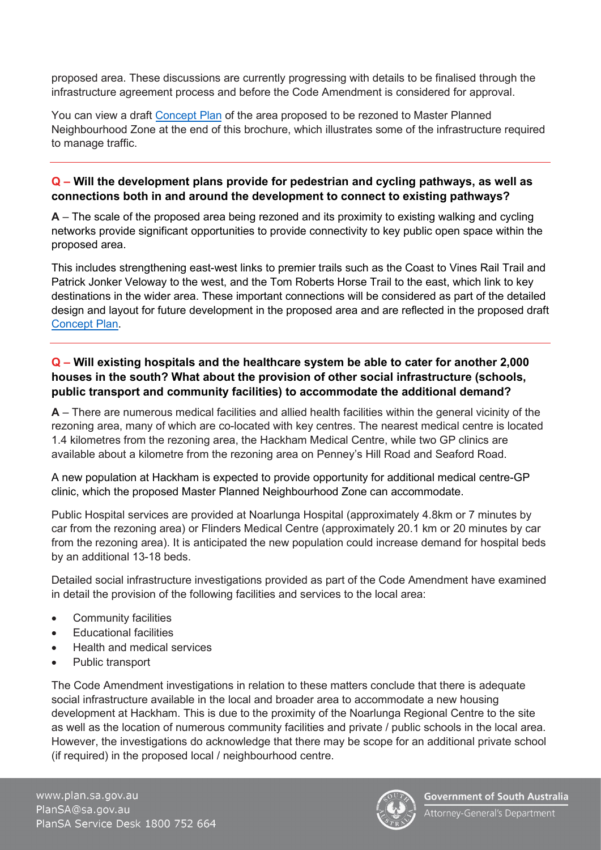proposed area. These discussions are currently progressing with details to be finalised through the infrastructure agreement process and before the Code Amendment is considered for approval.

You can view a draft [Concept Plan](#page-15-0) of the area proposed to be rezoned to Master Planned Neighbourhood Zone at the end of this brochure, which illustrates some of the infrastructure required to manage traffic.

#### **Q – Will the development plans provide for pedestrian and cycling pathways, as well as connections both in and around the development to connect to existing pathways?**

**A** – The scale of the proposed area being rezoned and its proximity to existing walking and cycling networks provide significant opportunities to provide connectivity to key public open space within the proposed area.

This includes strengthening east-west links to premier trails such as the Coast to Vines Rail Trail and Patrick Jonker Veloway to the west, and the Tom Roberts Horse Trail to the east, which link to key destinations in the wider area. These important connections will be considered as part of the detailed design and layout for future development in the proposed area and are reflected in the proposed draft [Concept Plan.](#page-15-0)

#### **Q – Will existing hospitals and the healthcare system be able to cater for another 2,000 houses in the south? What about the provision of other social infrastructure (schools, public transport and community facilities) to accommodate the additional demand?**

**A** – There are numerous medical facilities and allied health facilities within the general vicinity of the rezoning area, many of which are co-located with key centres. The nearest medical centre is located 1.4 kilometres from the rezoning area, the Hackham Medical Centre, while two GP clinics are available about a kilometre from the rezoning area on Penney's Hill Road and Seaford Road.

A new population at Hackham is expected to provide opportunity for additional medical centre-GP clinic, which the proposed Master Planned Neighbourhood Zone can accommodate.

Public Hospital services are provided at Noarlunga Hospital (approximately 4.8km or 7 minutes by car from the rezoning area) or Flinders Medical Centre (approximately 20.1 km or 20 minutes by car from the rezoning area). It is anticipated the new population could increase demand for hospital beds by an additional 13-18 beds.

Detailed social infrastructure investigations provided as part of the Code Amendment have examined in detail the provision of the following facilities and services to the local area:

- Community facilities
- Educational facilities
- Health and medical services
- Public transport

The Code Amendment investigations in relation to these matters conclude that there is adequate social infrastructure available in the local and broader area to accommodate a new housing development at Hackham. This is due to the proximity of the Noarlunga Regional Centre to the site as well as the location of numerous community facilities and private / public schools in the local area. However, the investigations do acknowledge that there may be scope for an additional private school (if required) in the proposed local / neighbourhood centre.

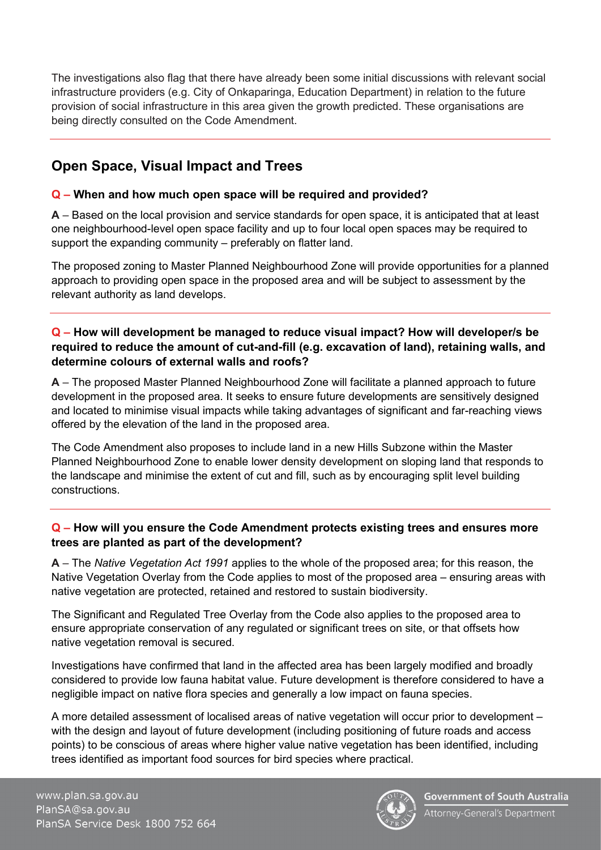The investigations also flag that there have already been some initial discussions with relevant social infrastructure providers (e.g. City of Onkaparinga, Education Department) in relation to the future provision of social infrastructure in this area given the growth predicted. These organisations are being directly consulted on the Code Amendment.

# **Open Space, Visual Impact and Trees**

#### **Q – When and how much open space will be required and provided?**

**A** – Based on the local provision and service standards for open space, it is anticipated that at least one neighbourhood-level open space facility and up to four local open spaces may be required to support the expanding community – preferably on flatter land.

The proposed zoning to Master Planned Neighbourhood Zone will provide opportunities for a planned approach to providing open space in the proposed area and will be subject to assessment by the relevant authority as land develops.

#### **Q – How will development be managed to reduce visual impact? How will developer/s be required to reduce the amount of cut-and-fill (e.g. excavation of land), retaining walls, and determine colours of external walls and roofs?**

**A** – The proposed Master Planned Neighbourhood Zone will facilitate a planned approach to future development in the proposed area. It seeks to ensure future developments are sensitively designed and located to minimise visual impacts while taking advantages of significant and far-reaching views offered by the elevation of the land in the proposed area.

The Code Amendment also proposes to include land in a new Hills Subzone within the Master Planned Neighbourhood Zone to enable lower density development on sloping land that responds to the landscape and minimise the extent of cut and fill, such as by encouraging split level building constructions.

#### **Q – How will you ensure the Code Amendment protects existing trees and ensures more trees are planted as part of the development?**

**A** – The *Native Vegetation Act 1991* applies to the whole of the proposed area; for this reason, the Native Vegetation Overlay from the Code applies to most of the proposed area – ensuring areas with native vegetation are protected, retained and restored to sustain biodiversity.

The Significant and Regulated Tree Overlay from the Code also applies to the proposed area to ensure appropriate conservation of any regulated or significant trees on site, or that offsets how native vegetation removal is secured.

Investigations have confirmed that land in the affected area has been largely modified and broadly considered to provide low fauna habitat value. Future development is therefore considered to have a negligible impact on native flora species and generally a low impact on fauna species.

A more detailed assessment of localised areas of native vegetation will occur prior to development – with the design and layout of future development (including positioning of future roads and access points) to be conscious of areas where higher value native vegetation has been identified, including trees identified as important food sources for bird species where practical.

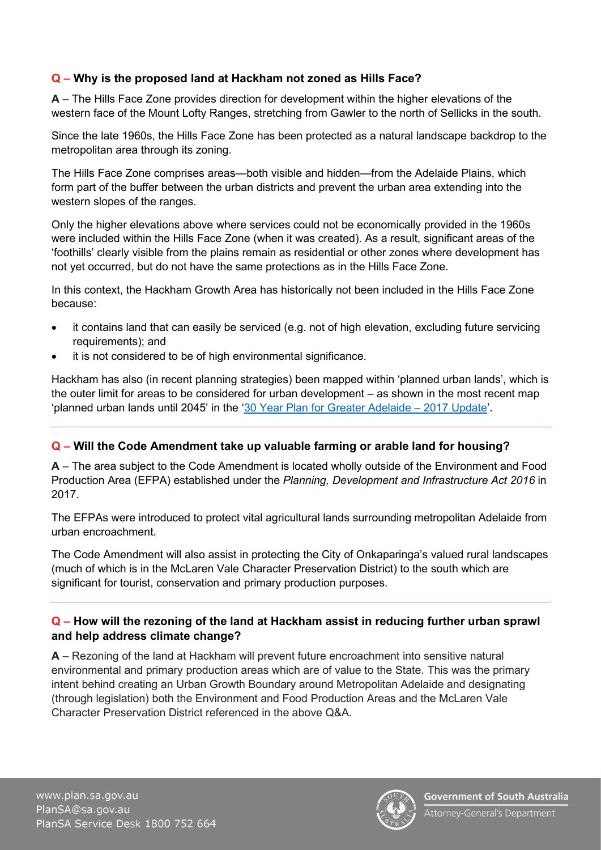#### **Q – Why is the proposed land at Hackham not zoned as Hills Face?**

**A** – The Hills Face Zone provides direction for development within the higher elevations of the western face of the Mount Lofty Ranges, stretching from Gawler to the north of Sellicks in the south.

Since the late 1960s, the Hills Face Zone has been protected as a natural landscape backdrop to the metropolitan area through its zoning.

The Hills Face Zone comprises areas—both visible and hidden—from the Adelaide Plains, which form part of the buffer between the urban districts and prevent the urban area extending into the western slopes of the ranges.

Only the higher elevations above where services could not be economically provided in the 1960s were included within the Hills Face Zone (when it was created). As a result, significant areas of the 'foothills' clearly visible from the plains remain as residential or other zones where development has not yet occurred, but do not have the same protections as in the Hills Face Zone.

In this context, the Hackham Growth Area has historically not been included in the Hills Face Zone because:

- it contains land that can easily be serviced (e.g. not of high elevation, excluding future servicing requirements); and
- it is not considered to be of high environmental significance.

Hackham has also (in recent planning strategies) been mapped within 'planned urban lands', which is the outer limit for areas to be considered for urban development – as shown in the most recent map 'planned urban lands until 2045' in the ['30 Year Plan for Greater Adelaide – 2017 Update'](https://plan.sa.gov.au/resources/planning/regional_plans/the_30-year_plan_for_greater_adelaide).

#### **Q – Will the Code Amendment take up valuable farming or arable land for housing?**

**A** – The area subject to the Code Amendment is located wholly outside of the Environment and Food Production Area (EFPA) established under the *Planning, Development and Infrastructure Act 2016* in 2017.

The EFPAs were introduced to protect vital agricultural lands surrounding metropolitan Adelaide from urban encroachment.

The Code Amendment will also assist in protecting the City of Onkaparinga's valued rural landscapes (much of which is in the McLaren Vale Character Preservation District) to the south which are significant for tourist, conservation and primary production purposes.

#### **Q – How will the rezoning of the land at Hackham assist in reducing further urban sprawl and help address climate change?**

**A** – Rezoning of the land at Hackham will prevent future encroachment into sensitive natural environmental and primary production areas which are of value to the State. This was the primary intent behind creating an Urban Growth Boundary around Metropolitan Adelaide and designating (through legislation) both the Environment and Food Production Areas and the McLaren Vale Character Preservation District referenced in the above Q&A.

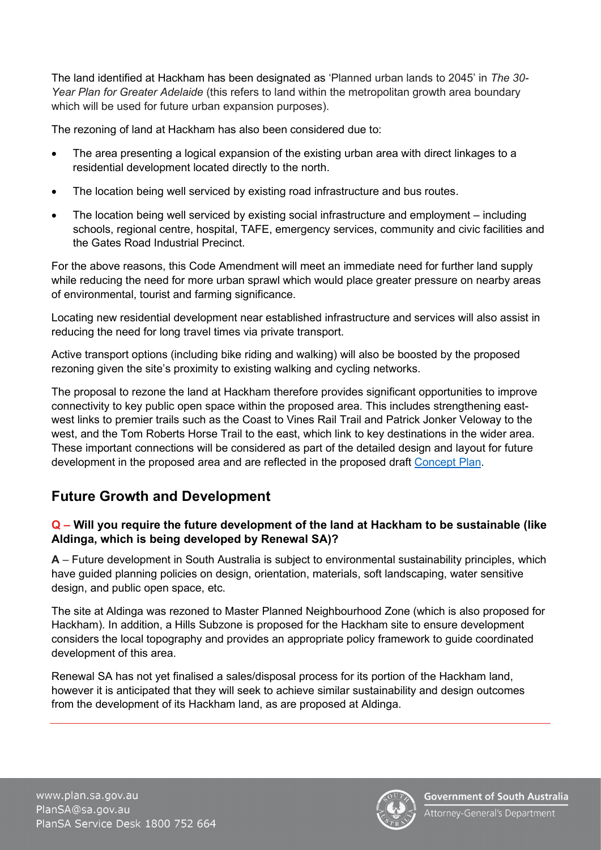The land identified at Hackham has been designated as 'Planned urban lands to 2045' in *The 30- Year Plan for Greater Adelaide* (this refers to land within the metropolitan growth area boundary which will be used for future urban expansion purposes).

The rezoning of land at Hackham has also been considered due to:

- The area presenting a logical expansion of the existing urban area with direct linkages to a residential development located directly to the north.
- The location being well serviced by existing road infrastructure and bus routes.
- The location being well serviced by existing social infrastructure and employment including schools, regional centre, hospital, TAFE, emergency services, community and civic facilities and the Gates Road Industrial Precinct.

For the above reasons, this Code Amendment will meet an immediate need for further land supply while reducing the need for more urban sprawl which would place greater pressure on nearby areas of environmental, tourist and farming significance.

Locating new residential development near established infrastructure and services will also assist in reducing the need for long travel times via private transport.

Active transport options (including bike riding and walking) will also be boosted by the proposed rezoning given the site's proximity to existing walking and cycling networks.

The proposal to rezone the land at Hackham therefore provides significant opportunities to improve connectivity to key public open space within the proposed area. This includes strengthening eastwest links to premier trails such as the Coast to Vines Rail Trail and Patrick Jonker Veloway to the west, and the Tom Roberts Horse Trail to the east, which link to key destinations in the wider area. These important connections will be considered as part of the detailed design and layout for future development in the proposed area and are reflected in the proposed draft [Concept Plan.](#page-15-0)

# **Future Growth and Development**

#### **Q – Will you require the future development of the land at Hackham to be sustainable (like Aldinga, which is being developed by Renewal SA)?**

**A** – Future development in South Australia is subject to environmental sustainability principles, which have guided planning policies on design, orientation, materials, soft landscaping, water sensitive design, and public open space, etc.

The site at Aldinga was rezoned to Master Planned Neighbourhood Zone (which is also proposed for Hackham). In addition, a Hills Subzone is proposed for the Hackham site to ensure development considers the local topography and provides an appropriate policy framework to guide coordinated development of this area.

Renewal SA has not yet finalised a sales/disposal process for its portion of the Hackham land, however it is anticipated that they will seek to achieve similar sustainability and design outcomes from the development of its Hackham land, as are proposed at Aldinga.

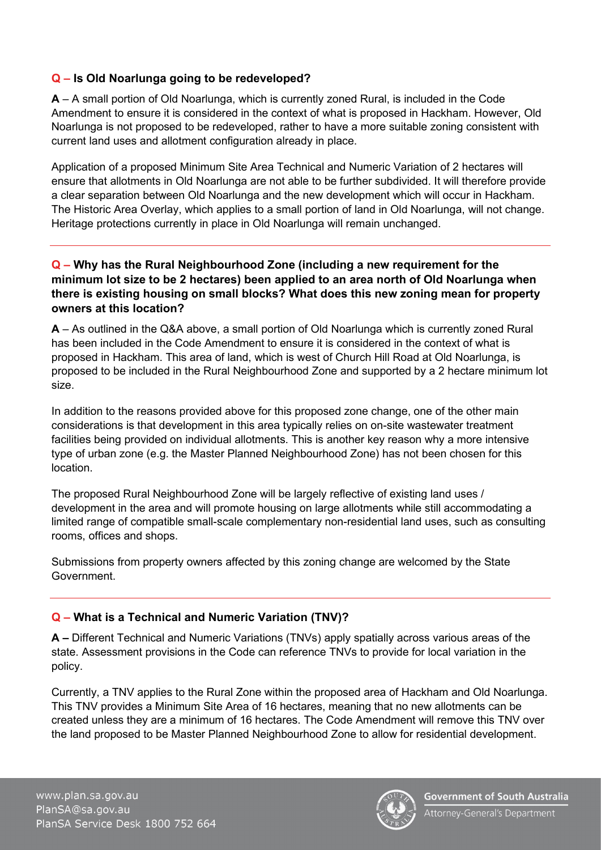#### **Q – Is Old Noarlunga going to be redeveloped?**

**A** – A small portion of Old Noarlunga, which is currently zoned Rural, is included in the Code Amendment to ensure it is considered in the context of what is proposed in Hackham. However, Old Noarlunga is not proposed to be redeveloped, rather to have a more suitable zoning consistent with current land uses and allotment configuration already in place.

Application of a proposed Minimum Site Area Technical and Numeric Variation of 2 hectares will ensure that allotments in Old Noarlunga are not able to be further subdivided. It will therefore provide a clear separation between Old Noarlunga and the new development which will occur in Hackham. The Historic Area Overlay, which applies to a small portion of land in Old Noarlunga, will not change. Heritage protections currently in place in Old Noarlunga will remain unchanged.

#### **Q – Why has the Rural Neighbourhood Zone (including a new requirement for the minimum lot size to be 2 hectares) been applied to an area north of Old Noarlunga when there is existing housing on small blocks? What does this new zoning mean for property owners at this location?**

**A** – As outlined in the Q&A above, a small portion of Old Noarlunga which is currently zoned Rural has been included in the Code Amendment to ensure it is considered in the context of what is proposed in Hackham. This area of land, which is west of Church Hill Road at Old Noarlunga, is proposed to be included in the Rural Neighbourhood Zone and supported by a 2 hectare minimum lot size.

In addition to the reasons provided above for this proposed zone change, one of the other main considerations is that development in this area typically relies on on-site wastewater treatment facilities being provided on individual allotments. This is another key reason why a more intensive type of urban zone (e.g. the Master Planned Neighbourhood Zone) has not been chosen for this location.

The proposed Rural Neighbourhood Zone will be largely reflective of existing land uses / development in the area and will promote housing on large allotments while still accommodating a limited range of compatible small-scale complementary non-residential land uses, such as consulting rooms, offices and shops.

Submissions from property owners affected by this zoning change are welcomed by the State Government.

#### **Q – What is a Technical and Numeric Variation (TNV)?**

**A –** Different Technical and Numeric Variations (TNVs) apply spatially across various areas of the state. Assessment provisions in the Code can reference TNVs to provide for local variation in the policy.

Currently, a TNV applies to the Rural Zone within the proposed area of Hackham and Old Noarlunga. This TNV provides a Minimum Site Area of 16 hectares, meaning that no new allotments can be created unless they are a minimum of 16 hectares. The Code Amendment will remove this TNV over the land proposed to be Master Planned Neighbourhood Zone to allow for residential development.



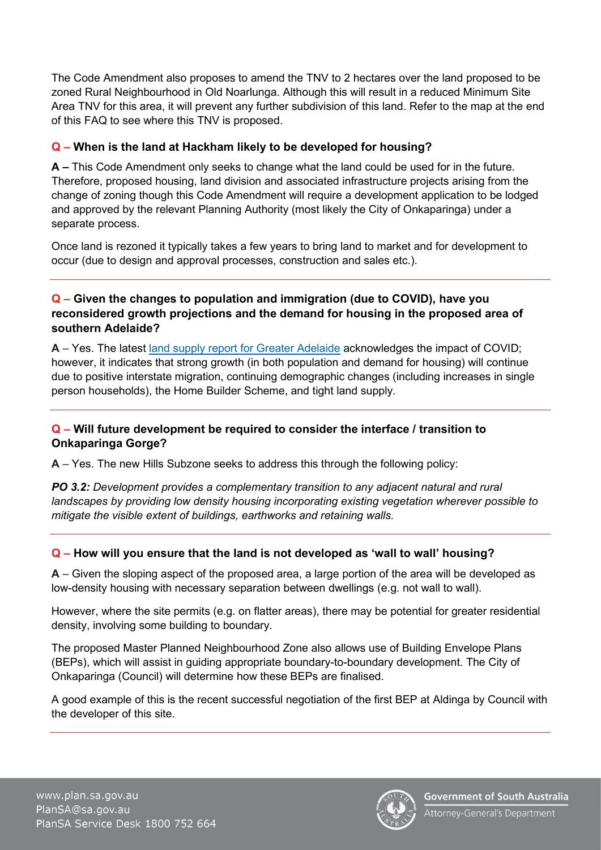The Code Amendment also proposes to amend the TNV to 2 hectares over the land proposed to be zoned Rural Neighbourhood in Old Noarlunga. Although this will result in a reduced Minimum Site Area TNV for this area, it will prevent any further subdivision of this land. Refer to the map at the end of this FAQ to see where this TNV is proposed.

#### **Q – When is the land at Hackham likely to be developed for housing?**

**A –** This Code Amendment only seeks to change what the land could be used for in the future. Therefore, proposed housing, land division and associated infrastructure projects arising from the change of zoning though this Code Amendment will require a development application to be lodged and approved by the relevant Planning Authority (most likely the City of Onkaparinga) under a separate process.

Once land is rezoned it typically takes a few years to bring land to market and for development to occur (due to design and approval processes, construction and sales etc.).

#### **Q – Given the changes to population and immigration (due to COVID), have you reconsidered growth projections and the demand for housing in the proposed area of southern Adelaide?**

**A** – Yes. The latest [land supply report for Greater Adelaide](https://plan.sa.gov.au/state_snapshot/land_supply/land_supply_reports_for_greater_Adelaide) acknowledges the impact of COVID; however, it indicates that strong growth (in both population and demand for housing) will continue due to positive interstate migration, continuing demographic changes (including increases in single person households), the Home Builder Scheme, and tight land supply.

#### **Q – Will future development be required to consider the interface / transition to Onkaparinga Gorge?**

**A** – Yes. The new Hills Subzone seeks to address this through the following policy:

**PO 3.2:** Development provides a complementary transition to any adjacent natural and rural *landscapes by providing low density housing incorporating existing vegetation wherever possible to mitigate the visible extent of buildings, earthworks and retaining walls.*

#### **Q – How will you ensure that the land is not developed as 'wall to wall' housing?**

**A** – Given the sloping aspect of the proposed area, a large portion of the area will be developed as low-density housing with necessary separation between dwellings (e.g. not wall to wall).

However, where the site permits (e.g. on flatter areas), there may be potential for greater residential density, involving some building to boundary.

The proposed Master Planned Neighbourhood Zone also allows use of Building Envelope Plans (BEPs), which will assist in guiding appropriate boundary-to-boundary development. The City of Onkaparinga (Council) will determine how these BEPs are finalised.

A good example of this is the recent successful negotiation of the first BEP at Aldinga by Council with the developer of this site.

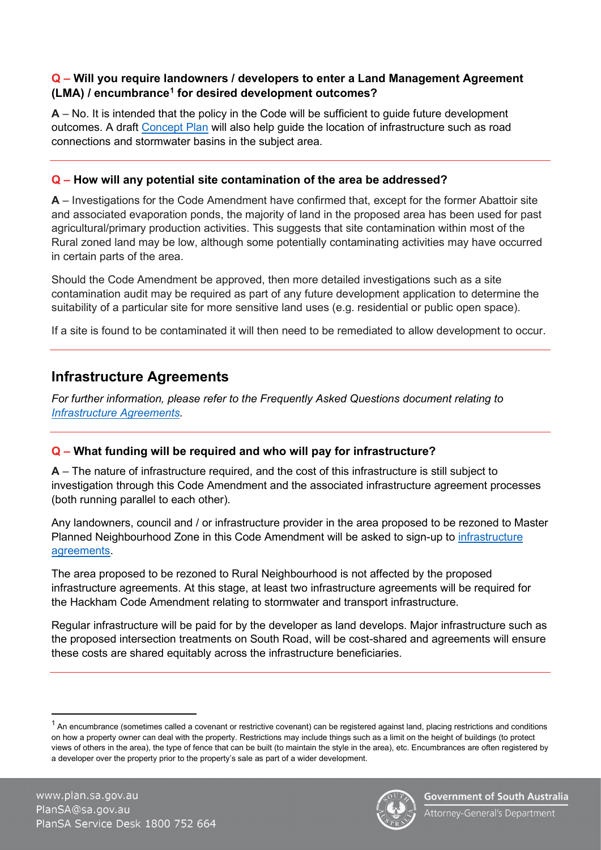#### **Q – Will you require landowners / developers to enter a Land Management Agreement (LMA) / encumbranc[e1](#page-12-0) for desired development outcomes?**

**A** – No. It is intended that the policy in the Code will be sufficient to guide future development outcomes. A draft [Concept](#page-15-0) Plan will also help guide the location of infrastructure such as road connections and stormwater basins in the subject area.

#### **Q – How will any potential site contamination of the area be addressed?**

**A** – Investigations for the Code Amendment have confirmed that, except for the former Abattoir site and associated evaporation ponds, the majority of land in the proposed area has been used for past agricultural/primary production activities. This suggests that site contamination within most of the Rural zoned land may be low, although some potentially contaminating activities may have occurred in certain parts of the area.

Should the Code Amendment be approved, then more detailed investigations such as a site contamination audit may be required as part of any future development application to determine the suitability of a particular site for more sensitive land uses (e.g. residential or public open space).

If a site is found to be contaminated it will then need to be remediated to allow development to occur.

#### **Infrastructure Agreements**

*For further information, please refer to the Frequently Asked Questions document relating to [Infrastructure Agreements.](https://www.plan.sa.gov.au/__data/assets/pdf_file/0004/983848/Hackham_Code_Amendment_-_Infrastructure_agreements_-_faq.pdf)* 

#### **Q – What funding will be required and who will pay for infrastructure?**

**A** – The nature of infrastructure required, and the cost of this infrastructure is still subject to investigation through this Code Amendment and the associated infrastructure agreement processes (both running parallel to each other).

Any landowners, council and / or infrastructure provider in the area proposed to be rezoned to Master Planned Neighbourhood Zone in this Code Amendment will be asked to sign-up to [infrastructure](https://www.plan.sa.gov.au/__data/assets/pdf_file/0004/983848/Hackham_Code_Amendment_-_Infrastructure_agreements_-_faq.pdf)  [agreements.](https://www.plan.sa.gov.au/__data/assets/pdf_file/0004/983848/Hackham_Code_Amendment_-_Infrastructure_agreements_-_faq.pdf)

The area proposed to be rezoned to Rural Neighbourhood is not affected by the proposed infrastructure agreements. At this stage, at least two infrastructure agreements will be required for the Hackham Code Amendment relating to stormwater and transport infrastructure.

Regular infrastructure will be paid for by the developer as land develops. Major infrastructure such as the proposed intersection treatments on South Road, will be cost-shared and agreements will ensure these costs are shared equitably across the infrastructure beneficiaries.



<span id="page-12-0"></span> $^{\text{1}}$  An encumbrance (sometimes called a covenant or restrictive covenant) can be registered against land, placing restrictions and conditions on how a property owner can deal with the property. Restrictions may include things such as a limit on the height of buildings (to protect views of others in the area), the type of fence that can be built (to maintain the style in the area), etc. Encumbrances are often registered by a developer over the property prior to the property's sale as part of a wider development.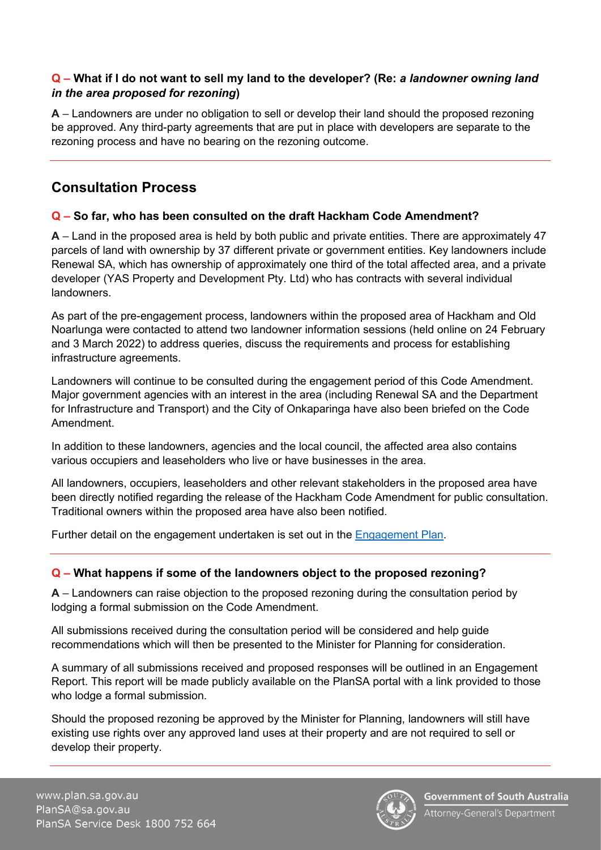#### **Q – What if I do not want to sell my land to the developer? (Re:** *a landowner owning land in the area proposed for rezoning***)**

**A** – Landowners are under no obligation to sell or develop their land should the proposed rezoning be approved. Any third-party agreements that are put in place with developers are separate to the rezoning process and have no bearing on the rezoning outcome.

## **Consultation Process**

#### **Q – So far, who has been consulted on the draft Hackham Code Amendment?**

**A** – Land in the proposed area is held by both public and private entities. There are approximately 47 parcels of land with ownership by 37 different private or government entities. Key landowners include Renewal SA, which has ownership of approximately one third of the total affected area, and a private developer (YAS Property and Development Pty. Ltd) who has contracts with several individual landowners.

As part of the pre-engagement process, landowners within the proposed area of Hackham and Old Noarlunga were contacted to attend two landowner information sessions (held online on 24 February and 3 March 2022) to address queries, discuss the requirements and process for establishing infrastructure agreements.

Landowners will continue to be consulted during the engagement period of this Code Amendment. Major government agencies with an interest in the area (including Renewal SA and the Department for Infrastructure and Transport) and the City of Onkaparinga have also been briefed on the Code Amendment.

In addition to these landowners, agencies and the local council, the affected area also contains various occupiers and leaseholders who live or have businesses in the area.

All landowners, occupiers, leaseholders and other relevant stakeholders in the proposed area have been directly notified regarding the release of the Hackham Code Amendment for public consultation. Traditional owners within the proposed area have also been notified.

Further detail on the engagement undertaken is set out in the [Engagement Plan.](https://www.plan.sa.gov.au/__data/assets/pdf_file/0009/1044000/Hackham_Code_Amendment_-_Engagement_Plan.pdf)

#### **Q – What happens if some of the landowners object to the proposed rezoning?**

**A** – Landowners can raise objection to the proposed rezoning during the consultation period by lodging a formal submission on the Code Amendment.

All submissions received during the consultation period will be considered and help guide recommendations which will then be presented to the Minister for Planning for consideration.

A summary of all submissions received and proposed responses will be outlined in an Engagement Report. This report will be made publicly available on the PlanSA portal with a link provided to those who lodge a formal submission.

Should the proposed rezoning be approved by the Minister for Planning, landowners will still have existing use rights over any approved land uses at their property and are not required to sell or develop their property.

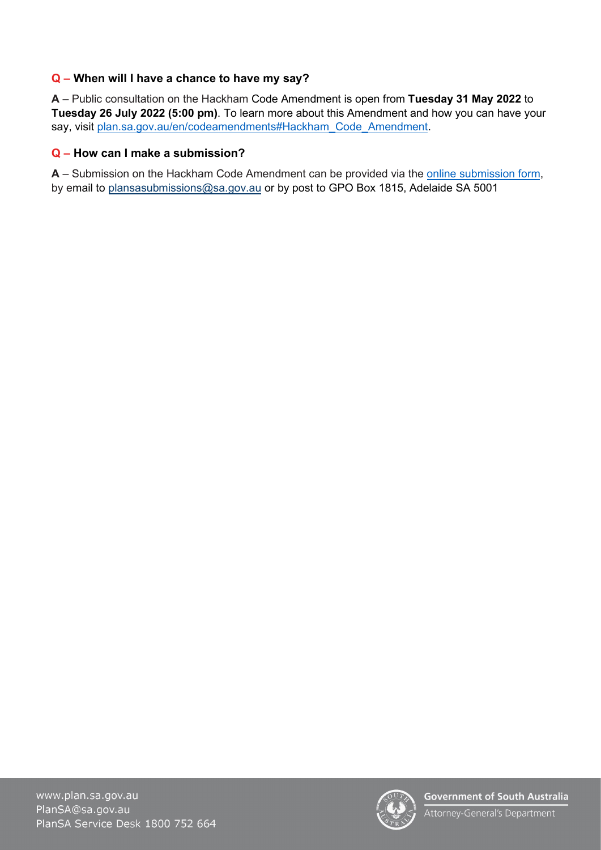#### **Q – When will I have a chance to have my say?**

**A** – Public consultation on the Hackham Code Amendment is open from **Tuesday 31 May 2022** to **Tuesday 26 July 2022 (5:00 pm)**. To learn more about this Amendment and how you can have your say, visit [plan.sa.gov.au/en/codeamendments#Hackham\\_Code\\_Amendment.](https://plan.sa.gov.au/en/codeamendments#Hackham_Code_Amendment)

#### **Q – How can I make a submission?**

**A** – Submission on the Hackham Code Amendment can be provided via the [online submission form,](https://plan.sa.gov.au/have_your_say/code_amendments/public_feedback_on_initiated_code_amendment?aid=Hackham_Code_Amendment) by email to [plansasubmissions@sa.gov.au](mailto:plansasubmissions@sa.gov.au) or by post to GPO Box 1815, Adelaide SA 5001